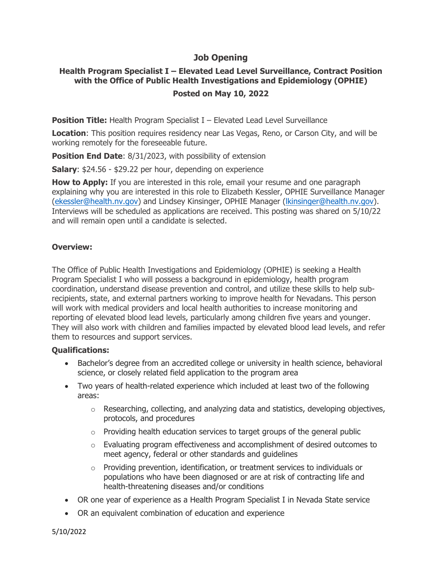### **Job Opening**

# **Health Program Specialist I – Elevated Lead Level Surveillance, Contract Position with the Office of Public Health Investigations and Epidemiology (OPHIE)**

## **Posted on May 10, 2022**

**Position Title:** Health Program Specialist I – Elevated Lead Level Surveillance

**Location**: This position requires residency near Las Vegas, Reno, or Carson City, and will be working remotely for the foreseeable future.

**Position End Date: 8/31/2023, with possibility of extension** 

**Salary**: \$24.56 - \$29.22 per hour, depending on experience

**How to Apply:** If you are interested in this role, email your resume and one paragraph explaining why you are interested in this role to Elizabeth Kessler, OPHIE Surveillance Manager [\(ekessler@health.nv.gov\)](mailto:ekessler@health.nv.gov) and Lindsey Kinsinger, OPHIE Manager [\(lkinsinger@health.nv.gov\)](mailto:lkinsinger@health.nv.gov). Interviews will be scheduled as applications are received. This posting was shared on 5/10/22 and will remain open until a candidate is selected.

#### **Overview:**

The Office of Public Health Investigations and Epidemiology (OPHIE) is seeking a Health Program Specialist I who will possess a background in epidemiology, health program coordination, understand disease prevention and control, and utilize these skills to help subrecipients, state, and external partners working to improve health for Nevadans. This person will work with medical providers and local health authorities to increase monitoring and reporting of elevated blood lead levels, particularly among children five years and younger. They will also work with children and families impacted by elevated blood lead levels, and refer them to resources and support services.

#### **Qualifications:**

- Bachelor's degree from an accredited college or university in health science, behavioral science, or closely related field application to the program area
- Two years of health-related experience which included at least two of the following areas:
	- $\circ$  Researching, collecting, and analyzing data and statistics, developing objectives, protocols, and procedures
	- $\circ$  Providing health education services to target groups of the general public
	- $\circ$  Evaluating program effectiveness and accomplishment of desired outcomes to meet agency, federal or other standards and guidelines
	- $\circ$  Providing prevention, identification, or treatment services to individuals or populations who have been diagnosed or are at risk of contracting life and health-threatening diseases and/or conditions
- OR one year of experience as a Health Program Specialist I in Nevada State service
- OR an equivalent combination of education and experience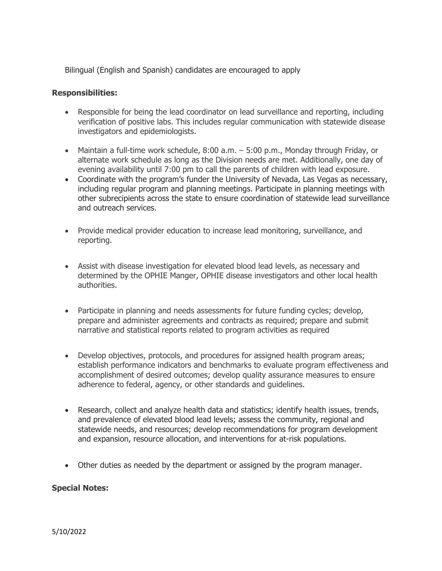Bilingual (English and Spanish) candidates are encouraged to apply

#### **Responsibilities:**

- Responsible for being the lead coordinator on lead surveillance and reporting, including verification of positive labs. This includes regular communication with statewide disease investigators and epidemiologists.
- Maintain a full-time work schedule, 8:00 a.m. 5:00 p.m., Monday through Friday, or alternate work schedule as long as the Division needs are met. Additionally, one day of evening availability until 7:00 pm to call the parents of children with lead exposure.
- Coordinate with the program's funder the University of Nevada, Las Vegas as necessary, including regular program and planning meetings. Participate in planning meetings with other subrecipients across the state to ensure coordination of statewide lead surveillance and outreach services.
- Provide medical provider education to increase lead monitoring, surveillance, and reporting.
- Assist with disease investigation for elevated blood lead levels, as necessary and determined by the OPHIE Manger, OPHIE disease investigators and other local health authorities.
- Participate in planning and needs assessments for future funding cycles; develop, prepare and administer agreements and contracts as required; prepare and submit narrative and statistical reports related to program activities as required
- Develop objectives, protocols, and procedures for assigned health program areas; establish performance indicators and benchmarks to evaluate program effectiveness and accomplishment of desired outcomes; develop quality assurance measures to ensure adherence to federal, agency, or other standards and guidelines.
- Research, collect and analyze health data and statistics; identify health issues, trends, and prevalence of elevated blood lead levels; assess the community, regional and statewide needs, and resources; develop recommendations for program development and expansion, resource allocation, and interventions for at-risk populations.
- Other duties as needed by the department or assigned by the program manager.

#### **Special Notes:**